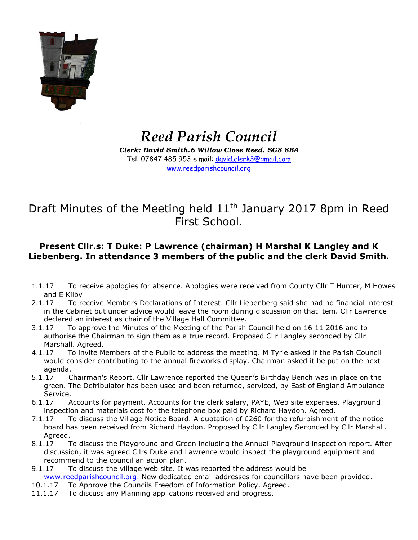

## *Reed Parish Council*

*Clerk: David Smith.6 Willow Close Reed. SG8 8BA* Tel: 07847 485 953 e mail: [david.clerk3@gmail.com](mailto:david.clerk3@gmail.com) [www.reedparishcouncil.org](http://www.reedparishcouncil.org/)

## Draft Minutes of the Meeting held 11<sup>th</sup> January 2017 8pm in Reed First School.

## **Present Cllr.s: T Duke: P Lawrence (chairman) H Marshal K Langley and K Liebenberg. In attendance 3 members of the public and the clerk David Smith.**

- 1.1.17 To receive apologies for absence. Apologies were received from County Cllr T Hunter, M Howes and E Kilby
- 2.1.17 To receive Members Declarations of Interest. Cllr Liebenberg said she had no financial interest in the Cabinet but under advice would leave the room during discussion on that item. Cllr Lawrence declared an interest as chair of the Village Hall Committee.
- 3.1.17 To approve the Minutes of the Meeting of the Parish Council held on 16 11 2016 and to authorise the Chairman to sign them as a true record. Proposed Cllr Langley seconded by Cllr Marshall. Agreed.
- 4.1.17 To invite Members of the Public to address the meeting. M Tyrie asked if the Parish Council would consider contributing to the annual fireworks display. Chairman asked it be put on the next agenda.
- 5.1.17 Chairman's Report. Cllr Lawrence reported the Queen's Birthday Bench was in place on the green. The Defribulator has been used and been returned, serviced, by East of England Ambulance Service.
- 6.1.17 Accounts for payment. Accounts for the clerk salary, PAYE, Web site expenses, Playground inspection and materials cost for the telephone box paid by Richard Haydon. Agreed.
- 7.1.17 To discuss the Village Notice Board. A quotation of  $E260$  for the refurbishment of the notice board has been received from Richard Haydon. Proposed by Cllr Langley Seconded by Cllr Marshall. Agreed.
- 8.1.17 To discuss the Playground and Green including the Annual Playground inspection report. After discussion, it was agreed Cllrs Duke and Lawrence would inspect the playground equipment and recommend to the council an action plan.
- 9.1.17 To discuss the village web site. It was reported the address would be [www.reedparishcouncil.org.](http://www.reedparishcouncil.org/) New dedicated email addresses for councillors have been provided.
- 10.1.17 To Approve the Councils Freedom of Information Policy. Agreed.
- 11.1.17 To discuss any Planning applications received and progress.